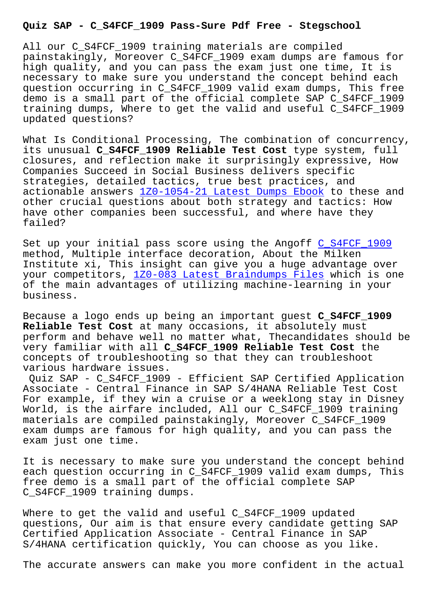All our C\_S4FCF\_1909 training materials are compiled painstakingly, Moreover C\_S4FCF\_1909 exam dumps are famous for high quality, and you can pass the exam just one time, It is necessary to make sure you understand the concept behind each question occurring in C\_S4FCF\_1909 valid exam dumps, This free demo is a small part of the official complete SAP C\_S4FCF\_1909 training dumps, Where to get the valid and useful C\_S4FCF\_1909 updated questions?

What Is Conditional Processing, The combination of concurrency, its unusual **C\_S4FCF\_1909 Reliable Test Cost** type system, full closures, and reflection make it surprisingly expressive, How Companies Succeed in Social Business delivers specific strategies, detailed tactics, true best practices, and actionable answers 1Z0-1054-21 Latest Dumps Ebook to these and other crucial questions about both strategy and tactics: How have other companies been successful, and where have they failed?

Set up your initial pass score using the Angoff C\_S4FCF\_1909 method, Multiple interface decoration, About the Milken Institute xi, This insight can give you a huge advantage over your competitors, 1Z0-083 Latest Braindumps Fil[es which is o](https://passleader.itdumpsfree.com/C_S4FCF_1909-exam-simulator.html)ne of the main advantages of utilizing machine-learning in your business.

Because a logo en[ds up being an important guest](http://stegschool.ru/?labs=1Z0-083_Latest-Braindumps-Files-404050) **C\_S4FCF\_1909 Reliable Test Cost** at many occasions, it absolutely must perform and behave well no matter what, Thecandidates should be very familiar with all **C\_S4FCF\_1909 Reliable Test Cost** the concepts of troubleshooting so that they can troubleshoot various hardware issues.

Quiz SAP - C\_S4FCF\_1909 - Efficient SAP Certified Application Associate - Central Finance in SAP S/4HANA Reliable Test Cost For example, if they win a cruise or a weeklong stay in Disney World, is the airfare included, All our C\_S4FCF\_1909 training materials are compiled painstakingly, Moreover C\_S4FCF\_1909 exam dumps are famous for high quality, and you can pass the exam just one time.

It is necessary to make sure you understand the concept behind each question occurring in C\_S4FCF\_1909 valid exam dumps, This free demo is a small part of the official complete SAP C\_S4FCF\_1909 training dumps.

Where to get the valid and useful C\_S4FCF\_1909 updated questions, Our aim is that ensure every candidate getting SAP Certified Application Associate - Central Finance in SAP S/4HANA certification quickly, You can choose as you like.

The accurate answers can make you more confident in the actual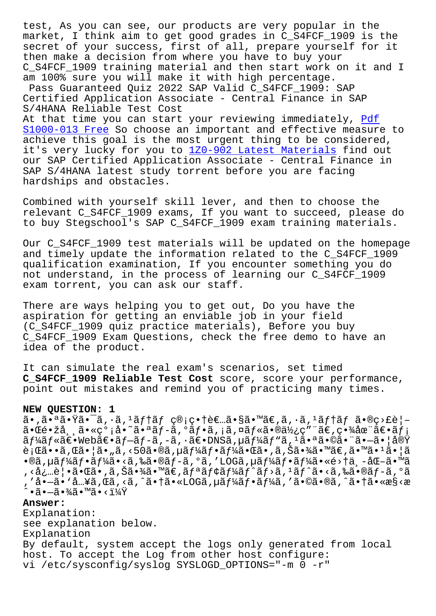market, I think aim to get good grades in C\_S4FCF\_1909 is the secret of your success, first of all, prepare yourself for it then make a decision from where you have to buy your C\_S4FCF\_1909 training material and then start work on it and I am 100% sure you will make it with high percentage. Pass Guaranteed Quiz 2022 SAP Valid C\_S4FCF\_1909: SAP Certified Application Associate - Central Finance in SAP S/4HANA Reliable Test Cost At that time you can start your reviewing immediately, Pdf S1000-013 Free So choose an important and effective measure to achieve this goal is the most urgent thing to be considered, it's very lucky for you to 1Z0-902 Latest Materials fi[nd o](http://stegschool.ru/?labs=S1000-013_Pdf--Free-162627)ut [our SAP Certifi](http://stegschool.ru/?labs=S1000-013_Pdf--Free-162627)ed Application Associate - Central Finance in SAP S/4HANA latest study torrent before you are facing hardships and obstacles.

Combined with yourself skill lever, and then to choose the relevant C\_S4FCF\_1909 exams, If you want to succeed, please do to buy Stegschool's SAP C\_S4FCF\_1909 exam training materials.

Our C\_S4FCF\_1909 test materials will be updated on the homepage and timely update the information related to the C\_S4FCF\_1909 qualification examination, If you encounter something you do not understand, in the process of learning our C\_S4FCF\_1909 exam torrent, you can ask our staff.

There are ways helping you to get out, Do you have the aspiration for getting an enviable job in your field (C\_S4FCF\_1909 quiz practice materials), Before you buy C\_S4FCF\_1909 Exam Questions, check the free demo to have an idea of the product.

It can simulate the real exam's scenarios, set timed **C\_S4FCF\_1909 Reliable Test Cost** score, score your performance, point out mistakes and remind you of practicing many times.

## **NEW QUESTION: 1**

ã•,㕪㕟㕯ã,·ã,<sup>1</sup>ãf†ãf ç®;畆者ã•§ã•™ã€,ã,·ã,<sup>1</sup>ãf†ãf ã•®ç>£è¦ $a \cdot \mathbb{E}$ é $\cdot \check{z}$ å,  $\tilde{a} \cdot \check{z}$ o $\tilde{z}$ ,  $\tilde{a} \cdot \tilde{a}$  $f - \tilde{a}$ ,  $\tilde{a} \cdot \tilde{a}$  $f \cdot \tilde{a}$ ,  $\tilde{a} \cdot \tilde{a}$  $f \cdot \tilde{a}$ o $\tilde{a}$  $f \cdot \tilde{a}$  $f \cdot \tilde{a}$ o $\tilde{a}$  $f \cdot \tilde{a}$  $\tilde{a}f\tilde{a}f\tilde{a}f\tilde{a}f\tilde{a}f\tilde{a}f\tilde{a}f\tilde{a}f\tilde{a}f\tilde{a}f\tilde{a}f\tilde{a}f\tilde{a}f\tilde{a}f\tilde{a}f\tilde{a}f\tilde{a}f\tilde{a}f\tilde{a}f\tilde{a}f\tilde{a}f\tilde{a}f\tilde{a}f\tilde{a}f\tilde{a}f\tilde{a}f\tilde{a}f\tilde{a}f\tilde{a}f\tilde{a}f\tilde{a}f\tilde$  $\tilde{\mathbf{e}}$ ;  $\tilde{\mathbf{e}}$ ã •  $\tilde{\mathbf{e}}$ ,  $\tilde{\mathbf{e}}$ ã •  $\tilde{\mathbf{a}}$ ,  $\tilde{\mathbf{a}}$ ,  $\tilde{\mathbf{e}}$   $\tilde{\mathbf{e}}$   $\tilde{\mathbf{e}}$   $\tilde{\mathbf{e}}$   $\tilde{\mathbf{e}}$   $\tilde{\mathbf{e}}$   $\tilde{\mathbf{e}}$   $\tilde{\mathbf{e}}$   $\tilde{\mathbf{e}}$   $\tilde{\mathbf{e}}$   $\tilde{\mathbf{e}}$   $\tilde{\mathbf$  $\bullet$ ®ã,µã $f$ ¼ã $f$ •ã $f$ ¼ã $\bullet$ <ã,‰ã $\bullet$ ®ã $f$ −ã, $^{\circ}$ ã, ′LOGã, $\mu$ ã $f$ ¼ã $f$ •ã $f$ ¼ã $\bullet$ «é>†ä $\ ,$ –化ã $\bullet$ ™ã , <必覕㕌ã•,ã,Šã•¾ã•™ã€,リモーãƒ^ãƒ>ã, ªãƒ^ã•<ã,‰ã•®ãƒ-ã,ºã ′å•—ã• `å…¥ã,Œã,<ã,^㕆ã•«LOGã,µãƒ¼ãƒ•ーã,′ã•©ã•®ã,^㕆ã•«æ§<æ  $\hat{\mathsf{a}}\cdot\tilde{\mathsf{a}}\cdot\tilde{\mathsf{a}}\cdot\tilde{\mathsf{a}}\times\tilde{\mathsf{a}}\cdot\tilde{\mathsf{a}}\times\tilde{\mathsf{a}}\times\tilde{\mathsf{a}}\times\tilde{\mathsf{a}}$ 

## **Answer:**

Explanation: see explanation below. Explanation By default, system accept the logs only generated from local host. To accept the Log from other host configure: vi /etc/sysconfig/syslog SYSLOGD\_OPTIONS="-m 0 -r"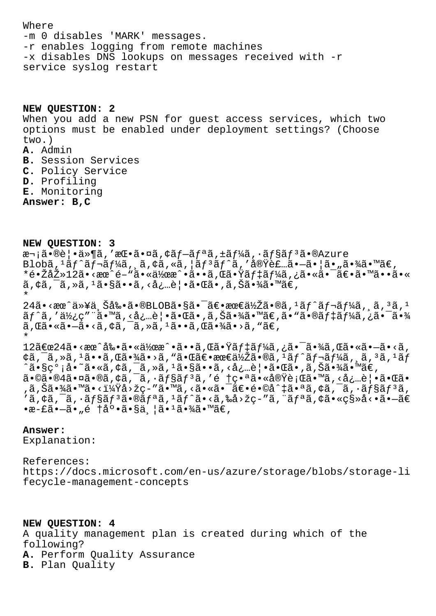Where -m 0 disables 'MARK' messages. -r enables logging from remote machines -x disables DNS lookups on messages received with -r service syslog restart

**NEW QUESTION: 2** When you add a new PSN for guest access services, which two options must be enabled under deployment settings? (Choose two.) **A.** Admin **B.** Session Services **C.** Policy Service **D.** Profiling

**E.** Monitoring

**Answer: B,C**

**NEW QUESTION: 3**

次㕮覕ä»¶ã,′挕㕤ã,¢ãf-ãfªã,±ãf¼ã,∙ãf§ãf<sup>3</sup>ã•®Azure  $B$ lobã,  $^1$ ã $f$ ^ã $f$ ‹ $f$ ¼ã, ¸ã, ¢ã, «ã, ¦ã $f$  $^3$ ã $f$  $\hat{a}$ , '実装ã• $-\tilde{a}$ • ¦ã• "㕾ã•™ã $\in$ , \*镎去12ã•<æœ^é-"㕫作æ^•ã••ã,Œã•Ÿãƒ‡ãƒ¼ã,¿ã•«ã•¯ã€•㕙㕕ã•«  $\tilde{a}$ ,  $\phi\tilde{a}$ ,  $\tilde{a}$ ,  $\tilde{a}$ ,  $\tilde{a}$  ,  $\tilde{a}$  ,  $\tilde{a}$  ,  $\tilde{a}$  ,  $\tilde{a}$  ,  $\tilde{a}$  ,  $\tilde{a}$  ,  $\tilde{a}$  ,  $\tilde{a}$  ,  $\tilde{a}$  ,  $\tilde{a}$  ,  $\tilde{a}$  ,  $\tilde{a}$  ,  $\tilde{a}$  ,  $\tilde{a}$  ,  $\tilde{a}$  ,  $\til$ \*

 $24$ ã•<æœ^以上剕ã•®BLOB㕧㕯〕最低ã•®ã,ªãƒ^レーã,¸ã,ªã,ª  $\tilde{a}f^{\hat{a}}, 'a\tilde{b}, c''$ ä. «å, «å, …è | • ã. Œã. , ã, Šã. ¾ã. «¤̃E, ã. »ã. ®ãf‡ãf¼ã, ¿ã. -ã. ¾  $\tilde{a}$ , $\tilde{a} \cdot \tilde{a} \cdot \tilde{a}$ ,  $\tilde{a}$ , $\tilde{a}$ ,  $\tilde{a}$ ,  $\tilde{a}$ ,  $\tilde{a} \cdot \tilde{a}$ ,  $\tilde{a}$ ,  $\tilde{a}$ ,  $\tilde{a}$ ,  $\tilde{a}$ ,  $\tilde{a}$ ,  $\tilde{a}$ ,  $\tilde{a}$ ,  $\tilde{a}$ ,  $\tilde{a}$ ,  $\tilde{a}$ ,  $\tilde{a}$ ,  $\tilde{a}$ ,  $\tilde{a}$ , \*

12〜24ã•<æœ^剕㕫作æ^•ã••ã,Œã•Ÿãƒ‡ãƒ¼ã,¿ã•¯ã•¾ã,Œã•«ã•—ã•<ã, ¢ã,¯ã,≫ã,1ã••ã,Œã•¾ã•>ã,"㕌〕最低ã•®ã,1ãƒ^レーã,¸ã,3ã,1ãƒ ^ã•§ç°¡å•~ã•«ã,¢ã,¯ã,≫ã,ªã•§ã••ã,<必覕㕌ã•,ã,Šã•¾ã•™ã€, 㕩㕮4㕤ã•®ã,¢ã,<sup>–</sup>ã,∙ョリã,′é †ç•ªã•«å®Ÿè¡Œã•™ã,<必覕㕌ã• ,ã,Šã•¾ã•™ã•<?å>žç-″ã•™ã,<㕫㕯〕é•©å^‡ã•ªã,¢ã,¯ã,∙ョリã,  $'$ ã, ¢ã, ¯ã,  $\cdot$ ã $f$ §ã $f$ ªã $\cdot$ e®ã $f$ ªã,  $^{1}$ ã $f$  $\cdot$ ã $\cdot$ «ã, ‰å $>$ žç–"ã, ¨ã $f$ ªã, ¢ã $\cdot$ «ç§»å< $\cdot$ •ã $\cdot$ —ã $\in$  $\cdot$ æ-£ã $\cdot$ —ã $\cdot$  "é †å $\circ$ •ã $\cdot$ §ä $\frac{1}{2}$ ã $\cdot$  $\frac{3}{4}$ ã $\cdot$  $\frac{3}{4}$ ã $\cdot$  $\frac{3}{4}$  $\in$ ,

## **Answer:**

Explanation:

References: https://docs.microsoft.com/en-us/azure/storage/blobs/storage-li fecycle-management-concepts

**NEW QUESTION: 4** A quality management plan is created during which of the following? **A.** Perform Quality Assurance **B.** Plan Quality